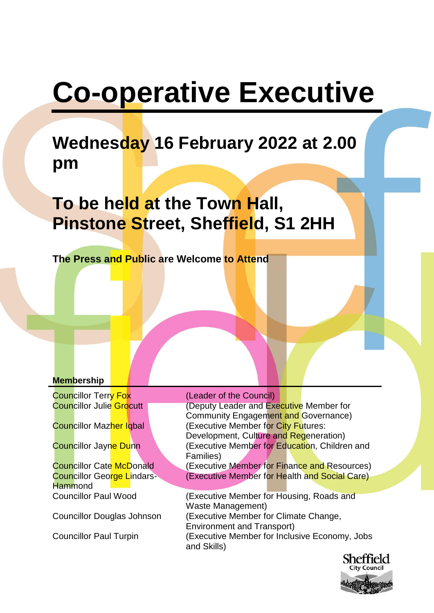# **Co-operative Executive**

## **Wednesday 16 February 2022 at 2.00 pm**

## **To be held at the Town Hall, Pinstone Street, Sheffield, S1 2HH**

**The Press and Public are Welcome to Attend**

## **Membership**

Councillor Terry Fox (Leader of the Council)

Councillor George Lindars-**Hammond** 

Councillor Julie Grocutt (Deputy Leader and Executive Member for Community Engagement and Governance) Councillor Mazher Igbal (Executive Member for City Futures: Development, Culture and Regeneration) **Councillor Jayne Dunn (Executive Member for Education, Children and** Families) Councillor Cate McDonald (Executive Member for Finance and Resources) (Executive Member for Health and Social Care)

Councillor Paul Wood (Executive Member for Housing, Roads and Waste Management) Councillor Douglas Johnson (Executive Member for Climate Change, Environment and Transport) Councillor Paul Turpin (Executive Member for Inclusive Economy, Jobs and Skills)

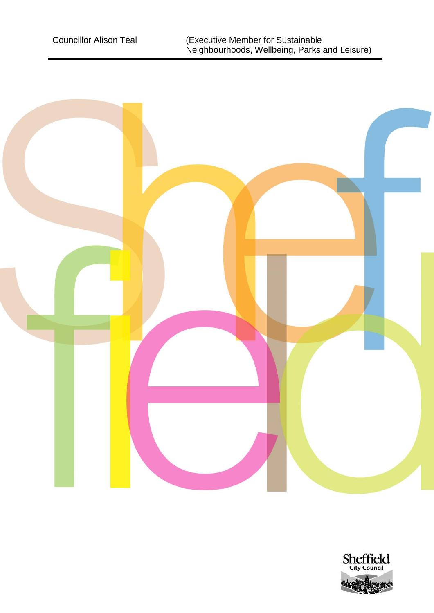

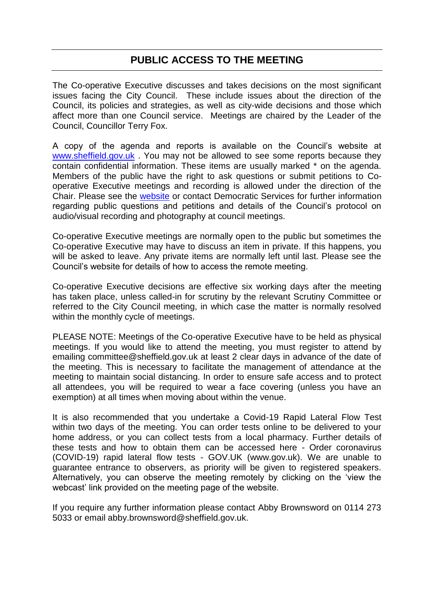## **PUBLIC ACCESS TO THE MEETING**

The Co-operative Executive discusses and takes decisions on the most significant issues facing the City Council. These include issues about the direction of the Council, its policies and strategies, as well as city-wide decisions and those which affect more than one Council service. Meetings are chaired by the Leader of the Council, Councillor Terry Fox.

A copy of the agenda and reports is available on the Council's website at [www.sheffield.gov.uk](http://www.sheffield.gov.uk/) . You may not be allowed to see some reports because they contain confidential information. These items are usually marked \* on the agenda. Members of the public have the right to ask questions or submit petitions to Cooperative Executive meetings and recording is allowed under the direction of the Chair. Please see the [website](http://democracy.sheffield.gov.uk/ieListMeetings.aspx?CommitteeId=123) or contact Democratic Services for further information regarding public questions and petitions and details of the Council's protocol on audio/visual recording and photography at council meetings.

Co-operative Executive meetings are normally open to the public but sometimes the Co-operative Executive may have to discuss an item in private. If this happens, you will be asked to leave. Any private items are normally left until last. Please see the Council's website for details of how to access the remote meeting.

Co-operative Executive decisions are effective six working days after the meeting has taken place, unless called-in for scrutiny by the relevant Scrutiny Committee or referred to the City Council meeting, in which case the matter is normally resolved within the monthly cycle of meetings.

PLEASE NOTE: Meetings of the Co-operative Executive have to be held as physical meetings. If you would like to attend the meeting, you must register to attend by emailing committee@sheffield.gov.uk at least 2 clear days in advance of the date of the meeting. This is necessary to facilitate the management of attendance at the meeting to maintain social distancing. In order to ensure safe access and to protect all attendees, you will be required to wear a face covering (unless you have an exemption) at all times when moving about within the venue.

It is also recommended that you undertake a Covid-19 Rapid Lateral Flow Test within two days of the meeting. You can order tests online to be delivered to your home address, or you can collect tests from a local pharmacy. Further details of these tests and how to obtain them can be accessed here - Order coronavirus (COVID-19) rapid lateral flow tests - GOV.UK (www.gov.uk). We are unable to guarantee entrance to observers, as priority will be given to registered speakers. Alternatively, you can observe the meeting remotely by clicking on the 'view the webcast' link provided on the meeting page of the website.

If you require any further information please contact Abby Brownsword on 0114 273 5033 or email abby.brownsword@sheffield.gov.uk.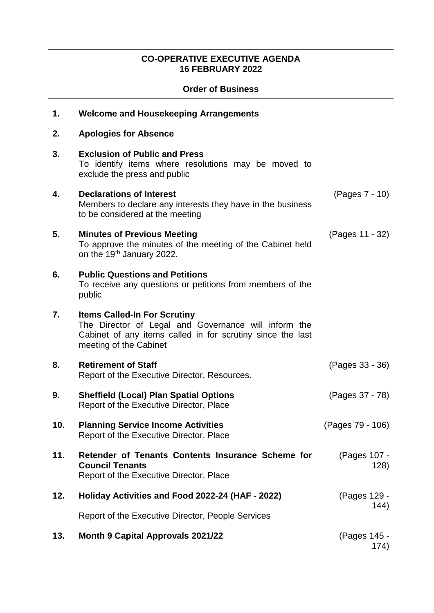## **CO-OPERATIVE EXECUTIVE AGENDA 16 FEBRUARY 2022**

### **Order of Business**

| 1.  | <b>Welcome and Housekeeping Arrangements</b>                                                                                                                                        |                      |
|-----|-------------------------------------------------------------------------------------------------------------------------------------------------------------------------------------|----------------------|
| 2.  | <b>Apologies for Absence</b>                                                                                                                                                        |                      |
| 3.  | <b>Exclusion of Public and Press</b><br>To identify items where resolutions may be moved to<br>exclude the press and public                                                         |                      |
| 4.  | <b>Declarations of Interest</b><br>Members to declare any interests they have in the business<br>to be considered at the meeting                                                    | (Pages 7 - 10)       |
| 5.  | <b>Minutes of Previous Meeting</b><br>To approve the minutes of the meeting of the Cabinet held<br>on the 19 <sup>th</sup> January 2022.                                            | (Pages 11 - 32)      |
| 6.  | <b>Public Questions and Petitions</b><br>To receive any questions or petitions from members of the<br>public                                                                        |                      |
| 7.  | <b>Items Called-In For Scrutiny</b><br>The Director of Legal and Governance will inform the<br>Cabinet of any items called in for scrutiny since the last<br>meeting of the Cabinet |                      |
| 8.  | <b>Retirement of Staff</b><br>Report of the Executive Director, Resources.                                                                                                          | (Pages 33 - 36)      |
| 9.  | <b>Sheffield (Local) Plan Spatial Options</b><br>Report of the Executive Director, Place                                                                                            | (Pages 37 - 78)      |
| 10. | <b>Planning Service Income Activities</b><br>Report of the Executive Director, Place                                                                                                | (Pages 79 - 106)     |
| 11. | Retender of Tenants Contents Insurance Scheme for<br><b>Council Tenants</b><br>Report of the Executive Director, Place                                                              | (Pages 107 -<br>128) |
| 12. | Holiday Activities and Food 2022-24 (HAF - 2022)                                                                                                                                    | (Pages 129 -         |
|     | Report of the Executive Director, People Services                                                                                                                                   | 144)                 |
| 13. | <b>Month 9 Capital Approvals 2021/22</b>                                                                                                                                            | (Pages 145 -<br>174) |